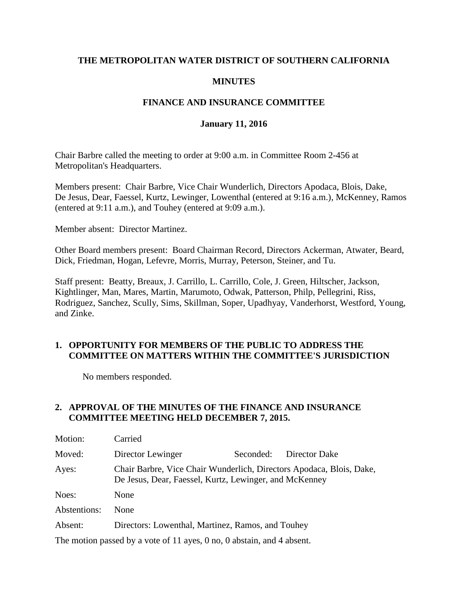### **THE METROPOLITAN WATER DISTRICT OF SOUTHERN CALIFORNIA**

### **MINUTES**

### **FINANCE AND INSURANCE COMMITTEE**

#### **January 11, 2016**

Chair Barbre called the meeting to order at 9:00 a.m. in Committee Room 2-456 at Metropolitan's Headquarters.

Members present: Chair Barbre, Vice Chair Wunderlich, Directors Apodaca, Blois, Dake, De Jesus, Dear, Faessel, Kurtz, Lewinger, Lowenthal (entered at 9:16 a.m.), McKenney, Ramos (entered at 9:11 a.m.), and Touhey (entered at 9:09 a.m.).

Member absent: Director Martinez.

Other Board members present: Board Chairman Record, Directors Ackerman, Atwater, Beard, Dick, Friedman, Hogan, Lefevre, Morris, Murray, Peterson, Steiner, and Tu.

Staff present: Beatty, Breaux, J. Carrillo, L. Carrillo, Cole, J. Green, Hiltscher, Jackson, Kightlinger, Man, Mares, Martin, Marumoto, Odwak, Patterson, Philp, Pellegrini, Riss, Rodriguez, Sanchez, Scully, Sims, Skillman, Soper, Upadhyay, Vanderhorst, Westford, Young, and Zinke.

### **1. OPPORTUNITY FOR MEMBERS OF THE PUBLIC TO ADDRESS THE COMMITTEE ON MATTERS WITHIN THE COMMITTEE'S JURISDICTION**

No members responded.

# **2. APPROVAL OF THE MINUTES OF THE FINANCE AND INSURANCE COMMITTEE MEETING HELD DECEMBER 7, 2015.**

| Motion:      | Carried                                                                                                                        |           |               |
|--------------|--------------------------------------------------------------------------------------------------------------------------------|-----------|---------------|
| Moved:       | Director Lewinger                                                                                                              | Seconded: | Director Dake |
| Ayes:        | Chair Barbre, Vice Chair Wunderlich, Directors Apodaca, Blois, Dake,<br>De Jesus, Dear, Faessel, Kurtz, Lewinger, and McKenney |           |               |
| Noes:        | None                                                                                                                           |           |               |
| Abstentions: | <b>None</b>                                                                                                                    |           |               |
| Absent:      | Directors: Lowenthal, Martinez, Ramos, and Touhey                                                                              |           |               |

The motion passed by a vote of 11 ayes, 0 no, 0 abstain, and 4 absent.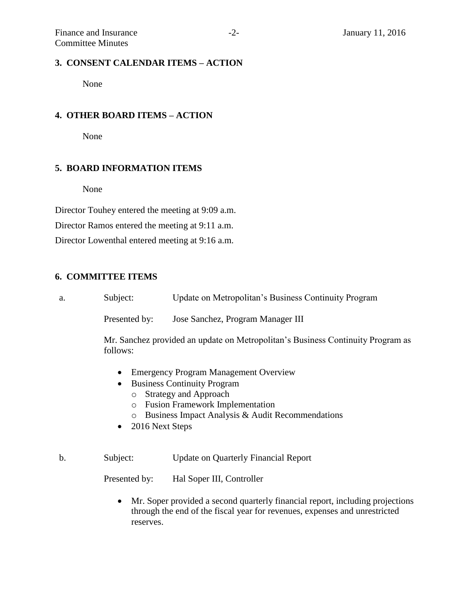None

### **4. OTHER BOARD ITEMS – ACTION**

None

### **5. BOARD INFORMATION ITEMS**

None

Director Touhey entered the meeting at 9:09 a.m.

Director Ramos entered the meeting at 9:11 a.m.

Director Lowenthal entered meeting at 9:16 a.m.

# **6. COMMITTEE ITEMS**

| а. | Subject:      | Update on Metropolitan's Business Continuity Program |  |
|----|---------------|------------------------------------------------------|--|
|    | Presented by: | Jose Sanchez, Program Manager III                    |  |

Mr. Sanchez provided an update on Metropolitan's Business Continuity Program as follows:

- Emergency Program Management Overview
- Business Continuity Program
	- o Strategy and Approach
	- o Fusion Framework Implementation
	- o Business Impact Analysis & Audit Recommendations
- 2016 Next Steps

b. Subject: Update on Quarterly Financial Report

Presented by: Hal Soper III, Controller

 Mr. Soper provided a second quarterly financial report, including projections through the end of the fiscal year for revenues, expenses and unrestricted reserves.